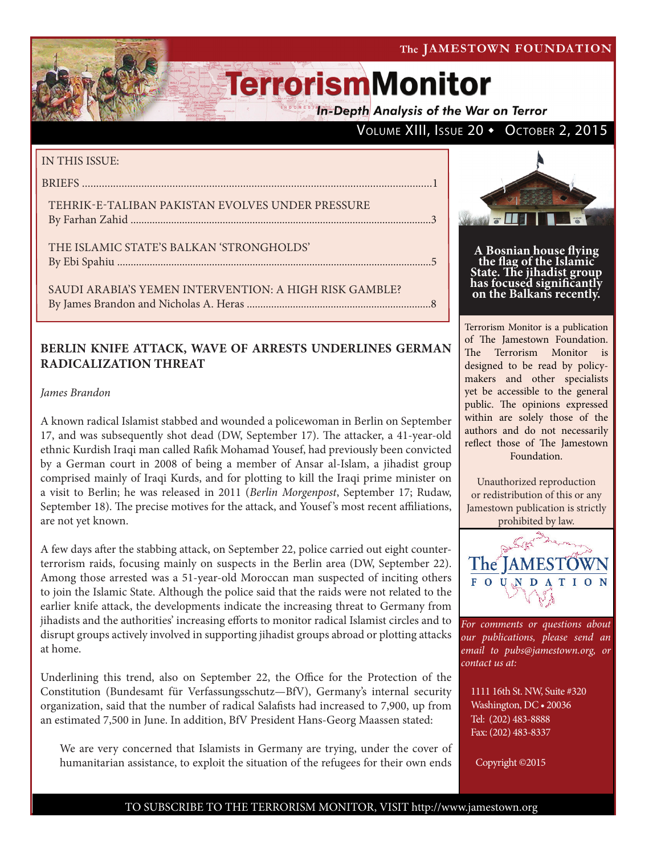**In-Depth Analysis of the War on Terror** 

### VOLUME XIII, ISSUE 20 • OCTOBER 2, 2015

#### IN THIS ISSUE:

BRIEFS ............................................................................................................................1

TEHRIK-E-TALIBAN PAKISTAN EVOLVES UNDER PRESSURE By Farhan Zahid ...............................................................................................................3

THE ISLAMIC STATE'S BALKAN 'STRONGHOLDS' By Ebi Spahiu ....................................................................................................................5

SAUDI ARABIA'S YEMEN INTERVENTION: A HIGH RISK GAMBLE? By James Brandon and Nicholas A. Heras ....................................................................8

### **BERLIN KNIFE ATTACK, WAVE OF ARRESTS UNDERLINES GERMAN RADICALIZATION THREAT**

*James Brandon*

A known radical Islamist stabbed and wounded a policewoman in Berlin on September 17, and was subsequently shot dead [\(DW](http://www.dw.com/en/islamist-shot-dead-in-berlin-after-knife-attack-on-policewoman/a-18721009), September 17). The attacker, a 41-year-old ethnic Kurdish Iraqi man called Rafik Mohamad Yousef, had previously been convicted by a German court in 2008 of being a member of Ansar al-Islam, a jihadist group comprised mainly of Iraqi Kurds, and for plotting to kill the Iraqi prime minister on a visit to Berlin; he was released in 2011 (*[Berlin Morgenpost](http://www.morgenpost.de/berlin/article205742715/Innensenator-Religioeser-Hintergrund-nicht-ausgeschlossen.html)*, September 17; [Rudaw,](http://rudaw.net/english/world/180920153) September 18). The precise motives for the attack, and Yousef 's most recent affiliations, are not yet known.

A few days after the stabbing attack, on September 22, police carried out eight counterterrorism raids, focusing mainly on suspects in the Berlin area ([DW,](http://www.dw.com/en/german-police-conduct-raids-in-berlins-islamist-scene/a-18728663) September 22). Among those arrested was a 51-year-old Moroccan man suspected of inciting others to join the Islamic State. Although the police said that the raids were not related to the earlier knife attack, the developments indicate the increasing threat to Germany from jihadists and the authorities' increasing efforts to monitor radical Islamist circles and to disrupt groups actively involved in supporting jihadist groups abroad or plotting attacks at home.

Underlining this trend, also on September 22, the Office for the Protection of the Constitution (Bundesamt für Verfassungsschutz—BfV), Germany's internal security organization, said that the number of radical Salafists had increased to 7,900, up from an estimated 7,500 in June. In addition, BfV President Hans-Georg Maassen stated:

We are very concerned that Islamists in Germany are trying, under the cover of humanitarian assistance, to exploit the situation of the refugees for their own ends



**A Bosnian house flying the flag of the Islamic State. The jihadist group has focused significantly on the Balkans recently.**

Terrorism Monitor is a publication of The Jamestown Foundation. The Terrorism Monitor is designed to be read by policymakers and other specialists yet be accessible to the general public. The opinions expressed within are solely those of the authors and do not necessarily reflect those of The Jamestown Foundation.

Unauthorized reproduction or redistribution of this or any Jamestown publication is strictly prohibited by law.



*For comments or questions about our publications, please send an email to pubs@jamestown.org, or contact us at:* 

1111 16th St. NW, Suite #320 Washington, DC • 20036 Tel: (202) 483-8888 Fax: (202) 483-8337

Copyright ©2015

#### TO SUBSCRIBE TO THE TERRORISM MONITOR, VISIT http://www.jamestown.org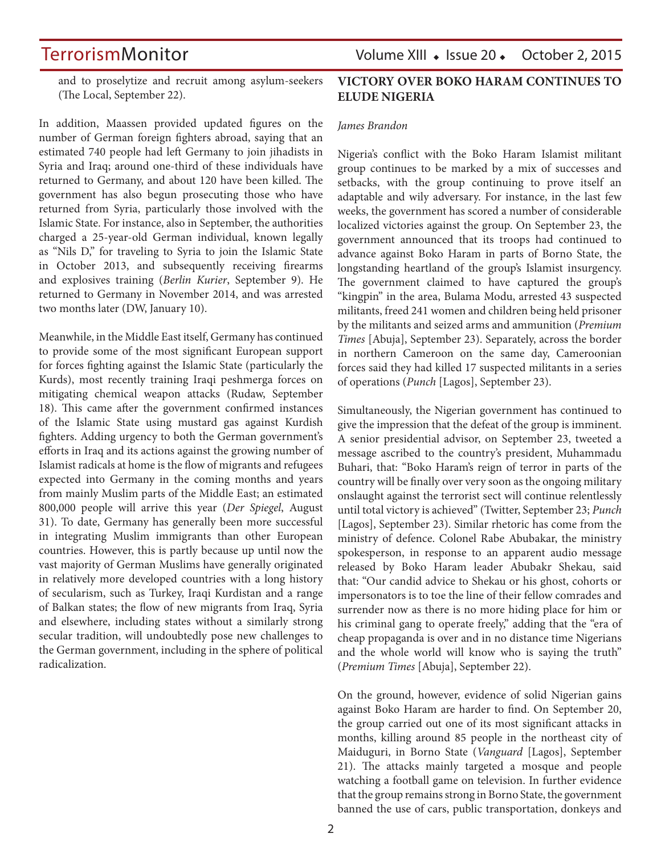TerrorismMonitor Volume XIII • Issue 20 • October 2, 2015

and to proselytize and recruit among asylum-seekers ([The Local,](http://www.thelocal.de/20150922/police-raid-berlin-sites-over-links-to-islamic-state) September 22).

In addition, Maassen provided updated figures on the number of German foreign fighters abroad, saying that an estimated 740 people had left Germany to join jihadists in Syria and Iraq; around one-third of these individuals have returned to Germany, and about 120 have been killed. The government has also begun prosecuting those who have returned from Syria, particularly those involved with the Islamic State. For instance, also in September, the authorities charged a 25-year-old German individual, known legally as "Nils D," for traveling to Syria to join the Islamic State in October 2013, and subsequently receiving firearms and explosives training (*[Berlin Kurier](http://www.berliner-kurier.de/politik---wirtschaft/kampf-gegen-den-is-mutmasslicher-is-terrorist-aus-dinslaken-angeklagt,7169228,31754586.html)*, September 9). He returned to Germany in November 2014, and was arrested two months later ([DW,](http://www.dw.com/en/german-police-arrest-alleged-islamic-state-terrorist/a-18183927) January 10).

Meanwhile, in the Middle East itself, Germany has continued to provide some of the most significant European support for forces fighting against the Islamic State (particularly the Kurds), most recently training Iraqi peshmerga forces on mitigating chemical weapon attacks ([Rudaw,](http://rudaw.net/english/kurdistan/180920152) September 18). This came after the government confirmed instances of the Islamic State using mustard gas against Kurdish fighters. Adding urgency to both the German government's efforts in Iraq and its actions against the growing number of Islamist radicals at home is the flow of migrants and refugees expected into Germany in the coming months and years from mainly Muslim parts of the Middle East; an estimated 800,000 people will arrive this year (*[Der Spiegel](http://www.spiegel.de/international/europe/top-german-immigration-official-on-influx-of-syrian-refugees-a-1050685.html)*, August 31). To date, Germany has generally been more successful in integrating Muslim immigrants than other European countries. However, this is partly because up until now the vast majority of German Muslims have generally originated in relatively more developed countries with a long history of secularism, such as Turkey, Iraqi Kurdistan and a range of Balkan states; the flow of new migrants from Iraq, Syria and elsewhere, including states without a similarly strong secular tradition, will undoubtedly pose new challenges to the German government, including in the sphere of political radicalization.

### **VICTORY OVER BOKO HARAM CONTINUES TO ELUDE NIGERIA**

#### *James Brandon*

Nigeria's conflict with the Boko Haram Islamist militant group continues to be marked by a mix of successes and setbacks, with the group continuing to prove itself an adaptable and wily adversary. For instance, in the last few weeks, the government has scored a number of considerable localized victories against the group. On September 23, the government announced that its troops had continued to advance against Boko Haram in parts of Borno State, the longstanding heartland of the group's Islamist insurgency. The government claimed to have captured the group's "kingpin" in the area, Bulama Modu, arrested 43 suspected militants, freed 241 women and children being held prisoner by the militants and seized arms and ammunition (*[Premium](http://www.premiumtimesng.com/news/headlines/190512-boko-haram-kingpin-42-other-terrorists-arrested-nigerian-army.html)  [Times](http://www.premiumtimesng.com/news/headlines/190512-boko-haram-kingpin-42-other-terrorists-arrested-nigerian-army.html)* [Abuja], September 23). Separately, across the border in northern Cameroon on the same day, Cameroonian forces said they had killed 17 suspected militants in a series of operations (*[Punch](http://www.punchng.com/news/cameroonian-troops-kill-17-boko-haram-militants/)* [Lagos], September 23).

Simultaneously, the Nigerian government has continued to give the impression that the defeat of the group is imminent. A senior presidential advisor, on September 23, tweeted a message ascribed to the country's president, Muhammadu Buhari, that: "Boko Haram's reign of terror in parts of the country will be finally over very soon as the ongoing military onslaught against the terrorist sect will continue relentlessly until total victory is achieved" ([Twitter,](https://twitter.com/GarShehu/status/646670452031647744) September 23; *[Punch](http://www.punchng.com/news/boko-harams-days-are-numbered-buhari/)* [Lagos], September 23). Similar rhetoric has come from the ministry of defence. Colonel Rabe Abubakar, the ministry spokesperson, in response to an apparent audio message released by Boko Haram leader Abubakr Shekau, said that: "Our candid advice to Shekau or his ghost, cohorts or impersonators is to toe the line of their fellow comrades and surrender now as there is no more hiding place for him or his criminal gang to operate freely," adding that the "era of cheap propaganda is over and in no distance time Nigerians and the whole world will know who is saying the truth" (*[Premium Times](http://www.premiumtimesng.com/news/headlines/190468-nigerian-military-replies-boko-haram-leader-shekau.html)* [Abuja], September 22).

On the ground, however, evidence of solid Nigerian gains against Boko Haram are harder to find. On September 20, the group carried out one of its most significant attacks in months, killing around 85 people in the northeast city of Maiduguri, in Borno State (*[Vanguard](http://www.vanguardngr.com/2015/09/85-dead-in-boko-harams-deadliest-attacks-since-buhari-took-over/)* [Lagos], September 21). The attacks mainly targeted a mosque and people watching a football game on television. In further evidence that the group remains strong in Borno State, the government banned the use of cars, public transportation, donkeys and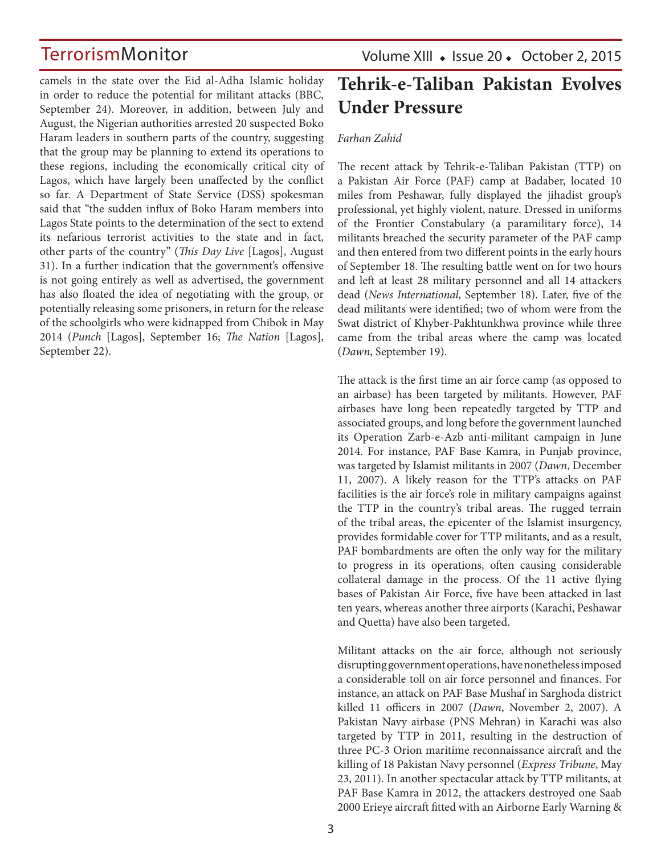camels in the state over the Eid al-Adha Islamic holiday in order to reduce the potential for militant attacks [\(BBC](http://www.bbc.co.uk/news/world-africa-34345953), September 24). Moreover, in addition, between July and August, the Nigerian authorities arrested 20 suspected Boko Haram leaders in southern parts of the country, suggesting that the group may be planning to extend its operations to these regions, including the economically critical city of Lagos, which have largely been unaffected by the conflict so far. A Department of State Service (DSS) spokesman said that "the sudden influx of Boko Haram members into Lagos State points to the determination of the sect to extend its nefarious terrorist activities to the state and in fact, other parts of the country" (*[This Day Live](http://www.thisdaylive.com/articles/dss-arrests-20-suspected-boko-haram-leaders/218953/)* [Lagos], August 31). In a further indication that the government's offensive is not going entirely as well as advertised, the government has also floated the idea of negotiating with the group, or potentially releasing some prisoners, in return for the release of the schoolgirls who were kidnapped from Chibok in May 2014 (*[Punch](http://www.punchng.com/news/we-are-negotiating-with-bharam-says-buhari/)* [Lagos], September 16; *[The Nation](http://thenationonlineng.net/should-govt-negotiate-with-boko-haram/)* [Lagos], September 22).

Volume XIII • Issue 20 • October 2, 2015

## **Tehrik-e-Taliban Pakistan Evolves Under Pressure**

#### *Farhan Zahid*

The recent attack by Tehrik-e-Taliban Pakistan (TTP) on a Pakistan Air Force (PAF) camp at Badaber, located 10 miles from Peshawar, fully displayed the jihadist group's professional, yet highly violent, nature. Dressed in uniforms of the Frontier Constabulary (a paramilitary force), 14 militants breached the security parameter of the PAF camp and then entered from two different points in the early hours of September 18. The resulting battle went on for two hours and left at least 28 military personnel and all 14 attackers dead (*[News International](http://www.thenews.com.pk/article-197818-PAF-base-camp-under-armed-attack-in-Peshawar)*, September 18). Later, five of the dead militants were identified; two of whom were from the Swat district of Khyber-Pakhtunkhwa province while three came from the tribal areas where the camp was located (*[Dawn](http://www.dawn.com/news/1208200)*, September 19).

The attack is the first time an air force camp (as opposed to an airbase) has been targeted by militants. However, PAF airbases have long been repeatedly targeted by TTP and associated groups, and long before the government launched its Operation Zarb-e-Azb anti-militant campaign in June 2014. For instance, PAF Base Kamra, in Punjab province, was targeted by Islamist militants in 2007 (*[Dawn](http://www.dawn.com/news/279832/suicide-bombing-hits-children)*, December 11, 2007). A likely reason for the TTP's attacks on PAF facilities is the air force's role in military campaigns against the TTP in the country's tribal areas. The rugged terrain of the tribal areas, the epicenter of the Islamist insurgency, provides formidable cover for TTP militants, and as a result, PAF bombardments are often the only way for the military to progress in its operations, often causing considerable collateral damage in the process. Of the 11 active flying bases of Pakistan Air Force, five have been attacked in last ten years, whereas another three airports (Karachi, Peshawar and Quetta) have also been targeted.

Militant attacks on the air force, although not seriously disrupting government operations, have nonetheless imposed a considerable toll on air force personnel and finances. For instance, an attack on PAF Base Mushaf in Sarghoda district killed 11 officers in 2007 (*[Dawn](http://www.dawn.com/news/273990/seven-paf-officers-among-11-dead-in-suicide-attack)*, November 2, 2007). A Pakistan Navy airbase (PNS Mehran) in Karachi was also targeted by TTP in 2011, resulting in the destruction of three PC-3 Orion maritime reconnaissance aircraft and the killing of 18 Pakistan Navy personnel (*[Express Tribune](http://tribune.com.pk/story/173888/blast-on-dalmia-road/)*, May 23, 2011). In another spectacular attack by TTP militants, at PAF Base Kamra in 2012, the attackers destroyed one Saab 2000 Erieye aircraft fitted with an Airborne Early Warning &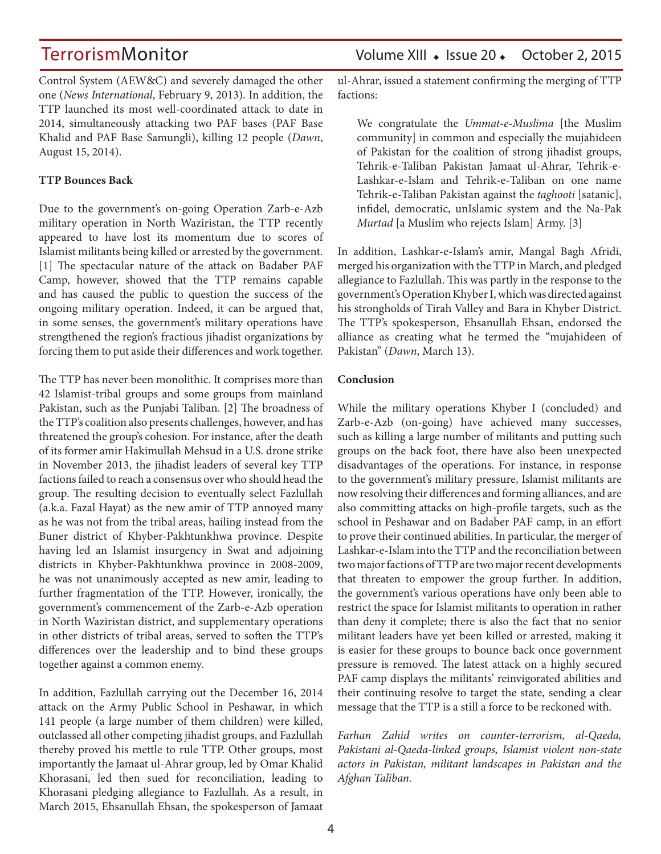TerrorismMonitor Volume XIII • Issue 20 • October 2, 2015

Control System (AEW&C) and severely damaged the other one (*[News International](http://www.thenews.com.pk/Todays-News-2-159025-Tax-payers-kept-in-the-dark-about-loss-of-plane-worth-$250m)*, February 9, 2013). In addition, the TTP launched its most well-coordinated attack to date in 2014, simultaneously attacking two PAF bases (PAF Base Khalid and PAF Base Samungli), killing 12 people (*[Dawn](http://www.dawn.com/news/1125310)*, August 15, 2014).

#### **TTP Bounces Back**

Due to the government's on-going Operation Zarb-e-Azb military operation in North Waziristan, the TTP recently appeared to have lost its momentum due to scores of Islamist militants being killed or arrested by the government. [1] The spectacular nature of the attack on Badaber PAF Camp, however, showed that the TTP remains capable and has caused the public to question the success of the ongoing military operation. Indeed, it can be argued that, in some senses, the government's military operations have strengthened the region's fractious jihadist organizations by forcing them to put aside their differences and work together.

The TTP has never been monolithic. It comprises more than 42 Islamist-tribal groups and some groups from mainland Pakistan, such as the Punjabi Taliban. [2] The broadness of the TTP's coalition also presents challenges, however, and has threatened the group's cohesion. For instance, after the death of its former amir Hakimullah Mehsud in a U.S. drone strike in November 2013, the jihadist leaders of several key TTP factions failed to reach a consensus over who should head the group. The resulting decision to eventually select Fazlullah (a.k.a. Fazal Hayat) as the new amir of TTP annoyed many as he was not from the tribal areas, hailing instead from the Buner district of Khyber-Pakhtunkhwa province. Despite having led an Islamist insurgency in Swat and adjoining districts in Khyber-Pakhtunkhwa province in 2008-2009, he was not unanimously accepted as new amir, leading to further fragmentation of the TTP. However, ironically, the government's commencement of the Zarb-e-Azb operation in North Waziristan district, and supplementary operations in other districts of tribal areas, served to soften the TTP's differences over the leadership and to bind these groups together against a common enemy.

In addition, Fazlullah carrying out the December 16, 2014 attack on the Army Public School in Peshawar, in which 141 people (a large number of them children) were killed, outclassed all other competing jihadist groups, and Fazlullah thereby proved his mettle to rule TTP. Other groups, most importantly the Jamaat ul-Ahrar group, led by Omar Khalid Khorasani, led then sued for reconciliation, leading to Khorasani pledging allegiance to Fazlullah. As a result, in March 2015, Ehsanullah Ehsan, the spokesperson of Jamaat

ul-Ahrar, issued a statement confirming the merging of TTP factions:

We congratulate the *Ummat-e-Muslima* [the Muslim community] in common and especially the mujahideen of Pakistan for the coalition of strong jihadist groups, Tehrik-e-Taliban Pakistan Jamaat ul-Ahrar, Tehrik-e-Lashkar-e-Islam and Tehrik-e-Taliban on one name Tehrik-e-Taliban Pakistan against the *taghooti* [satanic], infidel, democratic, unIslamic system and the Na-Pak *Murtad* [a Muslim who rejects Islam] Army. [3]

In addition, Lashkar-e-Islam's amir, Mangal Bagh Afridi, merged his organization with the TTP in March, and pledged allegiance to Fazlullah. This was partly in the response to the government's Operation Khyber I, which was directed against his strongholds of Tirah Valley and Bara in Khyber District. The TTP's spokesperson, Ehsanullah Ehsan, endorsed the alliance as creating what he termed the "mujahideen of Pakistan" (*[Dawn](http://www.dawn.com/news/1169243)*, March 13).

#### **Conclusion**

While the military operations Khyber I (concluded) and Zarb-e-Azb (on-going) have achieved many successes, such as killing a large number of militants and putting such groups on the back foot, there have also been unexpected disadvantages of the operations. For instance, in response to the government's military pressure, Islamist militants are now resolving their differences and forming alliances, and are also committing attacks on high-profile targets, such as the school in Peshawar and on Badaber PAF camp, in an effort to prove their continued abilities. In particular, the merger of Lashkar-e-Islam into the TTP and the reconciliation between two major factions of TTP are two major recent developments that threaten to empower the group further. In addition, the government's various operations have only been able to restrict the space for Islamist militants to operation in rather than deny it complete; there is also the fact that no senior militant leaders have yet been killed or arrested, making it is easier for these groups to bounce back once government pressure is removed. The latest attack on a highly secured PAF camp displays the militants' reinvigorated abilities and their continuing resolve to target the state, sending a clear message that the TTP is a still a force to be reckoned with.

*Farhan Zahid writes on counter-terrorism, al-Qaeda, Pakistani al-Qaeda-linked groups, Islamist violent non-state actors in Pakistan, militant landscapes in Pakistan and the Afghan Taliban.*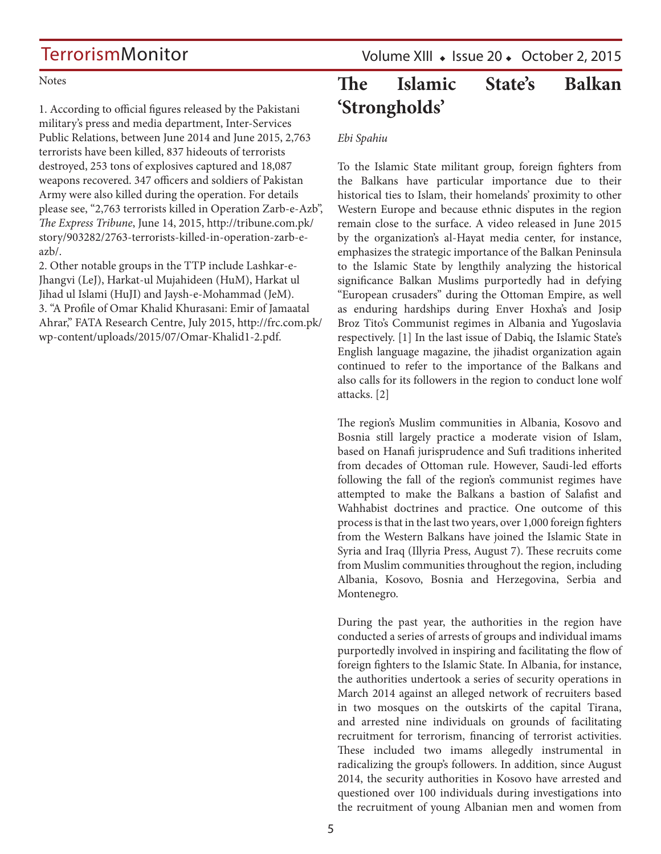**Notes** 

1. According to official figures released by the Pakistani military's press and media department, Inter-Services Public Relations, between June 2014 and June 2015, 2,763 terrorists have been killed, 837 hideouts of terrorists destroyed, 253 tons of explosives captured and 18,087 weapons recovered. 347 officers and soldiers of Pakistan Army were also killed during the operation. For details please see, "2,763 terrorists killed in Operation Zarb-e-Azb", *The Express Tribune*, June 14, 2015, [http://tribune.com.pk/](http://tribune.com.pk/story/903282/2763-terrorists-killed-in-operation-zarb-e-azb/) [story/903282/2763-terrorists-killed-in-operation-zarb-e](http://tribune.com.pk/story/903282/2763-terrorists-killed-in-operation-zarb-e-azb/)[azb/.](http://tribune.com.pk/story/903282/2763-terrorists-killed-in-operation-zarb-e-azb/)

2. Other notable groups in the TTP include Lashkar-e-Jhangvi (LeJ), Harkat-ul Mujahideen (HuM), Harkat ul Jihad ul Islami (HuJI) and Jaysh-e-Mohammad (JeM). 3. "A Profile of Omar Khalid Khurasani: Emir of Jamaatal Ahrar," FATA Research Centre, July 2015, [http://frc.com.pk/](http://frc.com.pk/wp-content/uploads/2015/07/Omar-Khalid1-2.pdf) [wp-content/uploads/2015/07/Omar-Khalid1-2.pdf](http://frc.com.pk/wp-content/uploads/2015/07/Omar-Khalid1-2.pdf).

Volume XIII · Issue 20 · October 2, 2015

## **The Islamic State's Balkan 'Strongholds'**

### *Ebi Spahiu*

To the Islamic State militant group, foreign fighters from the Balkans have particular importance due to their historical ties to Islam, their homelands' proximity to other Western Europe and because ethnic disputes in the region remain close to the surface. A video released in June 2015 by the organization's al-Hayat media center, for instance, emphasizes the strategic importance of the Balkan Peninsula to the Islamic State by lengthily analyzing the historical significance Balkan Muslims purportedly had in defying "European crusaders" during the Ottoman Empire, as well as enduring hardships during Enver Hoxha's and Josip Broz Tito's Communist regimes in Albania and Yugoslavia respectively. [1] In the last issue of Dabiq, the Islamic State's English language magazine, the jihadist organization again continued to refer to the importance of the Balkans and also calls for its followers in the region to conduct lone wolf attacks. [2]

The region's Muslim communities in Albania, Kosovo and Bosnia still largely practice a moderate vision of Islam, based on Hanafi jurisprudence and Sufi traditions inherited from decades of Ottoman rule. However, Saudi-led efforts following the fall of the region's communist regimes have attempted to make the Balkans a bastion of Salafist and Wahhabist doctrines and practice. One outcome of this process is that in the last two years, over 1,000 foreign fighters from the Western Balkans have joined the Islamic State in Syria and Iraq ([Illyria Press,](http://illyriapress.com/batalioni-i-ballkanit-me-1000-luftetare-ne-siri/) August 7). These recruits come from Muslim communities throughout the region, including Albania, Kosovo, Bosnia and Herzegovina, Serbia and Montenegro.

During the past year, the authorities in the region have conducted a series of arrests of groups and individual imams purportedly involved in inspiring and facilitating the flow of foreign fighters to the Islamic State. In Albania, for instance, the authorities undertook a series of security operations in March 2014 against an alleged network of recruiters based in two mosques on the outskirts of the capital Tirana, and arrested nine individuals on grounds of facilitating recruitment for terrorism, financing of terrorist activities. These included two imams allegedly instrumental in radicalizing the group's followers. In addition, since August 2014, the security authorities in Kosovo have arrested and questioned over 100 individuals during investigations into the recruitment of young Albanian men and women from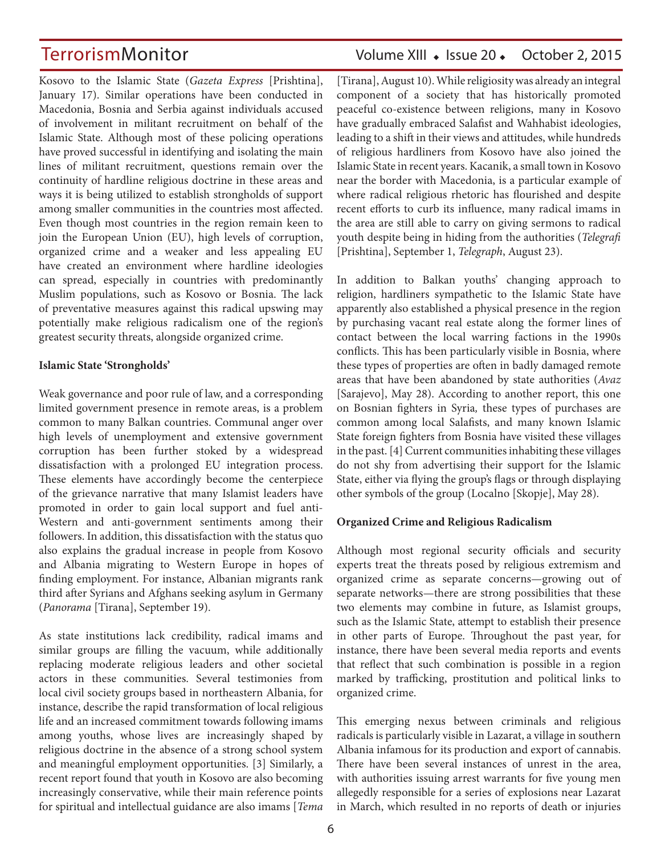Kosovo to the Islamic State (*[Gazeta Express](http://www.gazetaexpress.com/lajme/kerry-shkaterruam-celulat-e-isisit-ne-kosove-75362/)/?archive=1)* [Prishtina], January 17). Similar operations have been conducted in Macedonia, Bosnia and Serbia against individuals accused of involvement in militant recruitment on behalf of the Islamic State. Although most of these policing operations have proved successful in identifying and isolating the main lines of militant recruitment, questions remain over the continuity of hardline religious doctrine in these areas and ways it is being utilized to establish strongholds of support among smaller communities in the countries most affected. Even though most countries in the region remain keen to join the European Union (EU), high levels of corruption, organized crime and a weaker and less appealing EU have created an environment where hardline ideologies can spread, especially in countries with predominantly Muslim populations, such as Kosovo or Bosnia. The lack of preventative measures against this radical upswing may potentially make religious radicalism one of the region's greatest security threats, alongside organized crime.

#### **Islamic State 'Strongholds'**

Weak governance and poor rule of law, and a corresponding limited government presence in remote areas, is a problem common to many Balkan countries. Communal anger over high levels of unemployment and extensive government corruption has been further stoked by a widespread dissatisfaction with a prolonged EU integration process. These elements have accordingly become the centerpiece of the grievance narrative that many Islamist leaders have promoted in order to gain local support and fuel anti-Western and anti-government sentiments among their followers. In addition, this dissatisfaction with the status quo also explains the gradual increase in people from Kosovo and Albania migrating to Western Europe in hopes of finding employment. For instance, Albanian migrants rank third after Syrians and Afghans seeking asylum in Germany (*[Panorama](http://www.panorama.com.al/eurostat-shqiptaret-te-tretet-si-azilkerkues-pas-sirise-e-afganistanit/)* [Tirana], September 19).

As state institutions lack credibility, radical imams and similar groups are filling the vacuum, while additionally replacing moderate religious leaders and other societal actors in these communities. Several testimonies from local civil society groups based in northeastern Albania, for instance, describe the rapid transformation of local religious life and an increased commitment towards following imams among youths, whose lives are increasingly shaped by religious doctrine in the absence of a strong school system and meaningful employment opportunities. [3] Similarly, a recent report found that youth in Kosovo are also becoming increasingly conservative, while their main reference points for spiritual and intellectual guidance are also imams [*Tema*

### TerrorismMonitor Volume XIII • Issue 20 • October 2, 2015

[Tirana], August 10). While religiosity was already an integral component of a society that has historically promoted peaceful co-existence between religions, many in Kosovo have gradually embraced Salafist and Wahhabist ideologies, leading to a shift in their views and attitudes, while hundreds of religious hardliners from Kosovo have also joined the Islamic State in recent years. Kacanik, a small town in Kosovo near the border with Macedonia, is a particular example of where radical religious rhetoric has flourished and despite recent efforts to curb its influence, many radical imams in the area are still able to carry on giving sermons to radical youth despite being in hiding from the authorities (*Telegrafi* [Prishtina], September 1, *[Telegraph](http://www.telegraph.co.uk/news/worldnews/europe/kosovo/11818659/Inside-Kacanik-Kosovos-jihadist-capital.html)*, August 23).

In addition to Balkan youths' changing approach to religion, hardliners sympathetic to the Islamic State have apparently also established a physical presence in the region by purchasing vacant real estate along the former lines of contact between the local warring factions in the 1990s conflicts. This has been particularly visible in Bosnia, where these types of properties are often in badly damaged remote areas that have been abandoned by state authorities (*Avaz* [Sarajevo], May 28). According to another report, this one on Bosnian fighters in Syria*,* these types of purchases are common among local Salafists, and many known Islamic State foreign fighters from Bosnia have visited these villages in the past. [4] Current communities inhabiting these villages do not shy from advertising their support for the Islamic State, either via flying the group's flags or through displaying other symbols of the group (Localno [Skopje], May 28).

#### **Organized Crime and Religious Radicalism**

Although most regional security officials and security experts treat the threats posed by religious extremism and organized crime as separate concerns—growing out of separate networks—there are strong possibilities that these two elements may combine in future, as Islamist groups, such as the Islamic State, attempt to establish their presence in other parts of Europe. Throughout the past year, for instance, there have been several media reports and events that reflect that such combination is possible in a region marked by trafficking, prostitution and political links to organized crime.

This emerging nexus between criminals and religious radicals is particularly visible in Lazarat, a village in southern Albania infamous for its production and export of cannabis. There have been several instances of unrest in the area, with authorities issuing arrest warrants for five young men allegedly responsible for a series of explosions near Lazarat in March, which resulted in no reports of death or injuries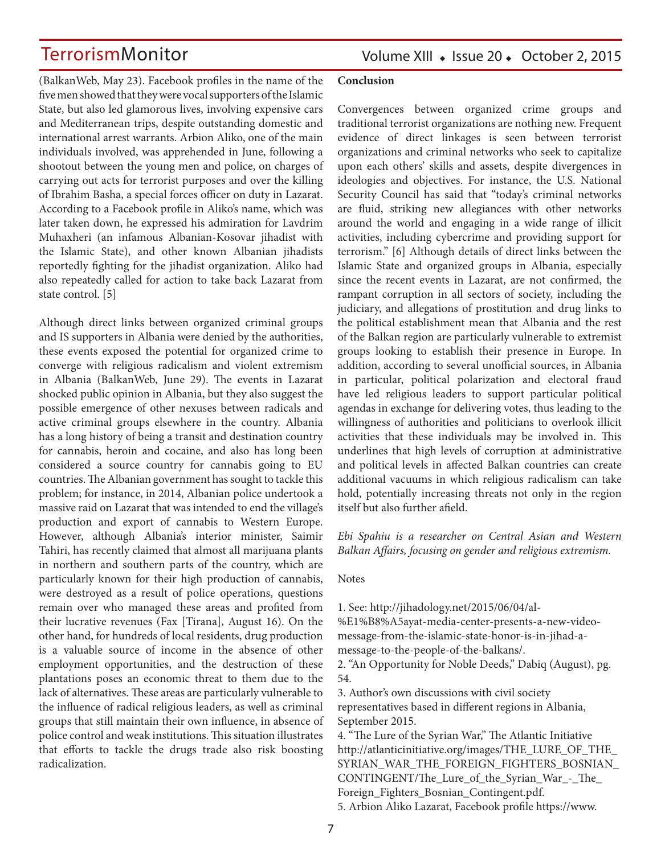(BalkanWeb, May 23). Facebook profiles in the name of the five men showed that they were vocal supporters of the Islamic State, but also led glamorous lives, involving expensive cars and Mediterranean trips, despite outstanding domestic and international arrest warrants. Arbion Aliko, one of the main individuals involved, was apprehended in June, following a shootout between the young men and police, on charges of carrying out acts for terrorist purposes and over the killing of Ibrahim Basha, a special forces officer on duty in Lazarat. According to a Facebook profile in Aliko's name, which was later taken down, he expressed his admiration for Lavdrim Muhaxheri (an infamous Albanian-Kosovar jihadist with the Islamic State), and other known Albanian jihadists reportedly fighting for the jihadist organization. Aliko had also repeatedly called for action to take back Lazarat from state control. [5]

Although direct links between organized criminal groups and IS supporters in Albania were denied by the authorities, these events exposed the potential for organized crime to converge with religious radicalism and violent extremism in Albania (BalkanWeb, June 29). The events in Lazarat shocked public opinion in Albania, but they also suggest the possible emergence of other nexuses between radicals and active criminal groups elsewhere in the country. Albania has a long history of being a transit and destination country for cannabis, heroin and cocaine, and also has long been considered a source country for cannabis going to EU countries. The Albanian government has sought to tackle this problem; for instance, in 2014, Albanian police undertook a massive raid on Lazarat that was intended to end the village's production and export of cannabis to Western Europe. However, although Albania's interior minister, Saimir Tahiri, has recently claimed that almost all marijuana plants in northern and southern parts of the country, which are particularly known for their high production of cannabis, were destroyed as a result of police operations, questions remain over who managed these areas and profited from their lucrative revenues ([Fax](http://fax.al/read/news/1233544/10232075/antidroga-nje-histori-suksesi-tahiri-ja-shifrat-e-aksionit) [Tirana], August 16). On the other hand, for hundreds of local residents, drug production is a valuable source of income in the absence of other employment opportunities, and the destruction of these plantations poses an economic threat to them due to the lack of alternatives. These areas are particularly vulnerable to the influence of radical religious leaders, as well as criminal groups that still maintain their own influence, in absence of police control and weak institutions. This situation illustrates that efforts to tackle the drugs trade also risk boosting radicalization.

#### **Conclusion**

Convergences between organized crime groups and traditional terrorist organizations are nothing new. Frequent evidence of direct linkages is seen between terrorist organizations and criminal networks who seek to capitalize upon each others' skills and assets, despite divergences in ideologies and objectives. For instance, the U.S. National Security Council has said that "today's criminal networks are fluid, striking new allegiances with other networks around the world and engaging in a wide range of illicit activities, including cybercrime and providing support for terrorism." [6] Although details of direct links between the Islamic State and organized groups in Albania, especially since the recent events in Lazarat, are not confirmed, the rampant corruption in all sectors of society, including the judiciary, and allegations of prostitution and drug links to the political establishment mean that Albania and the rest of the Balkan region are particularly vulnerable to extremist groups looking to establish their presence in Europe. In addition, according to several unofficial sources, in Albania in particular, political polarization and electoral fraud have led religious leaders to support particular political agendas in exchange for delivering votes, thus leading to the willingness of authorities and politicians to overlook illicit activities that these individuals may be involved in. This underlines that high levels of corruption at administrative and political levels in affected Balkan countries can create additional vacuums in which religious radicalism can take hold, potentially increasing threats not only in the region itself but also further afield.

*Ebi Spahiu is a researcher on Central Asian and Western Balkan Affairs, focusing on gender and religious extremism.*

#### Notes

1. See: [http://jihadology.net/2015/06/04/al-](http://jihadology.net/2015/06/04/al-%E1%B8%A5ayat-media-center-presents-a-new-video-message-from-the-islamic-state-honor-is-in-jihad-a-message-to-the-people-of-the-balkans/)

[%E1%B8%A5ayat-media-center-presents-a-new-video](http://jihadology.net/2015/06/04/al-%E1%B8%A5ayat-media-center-presents-a-new-video-message-from-the-islamic-state-honor-is-in-jihad-a-message-to-the-people-of-the-balkans/)[message-from-the-islamic-state-honor-is-in-jihad-a](http://jihadology.net/2015/06/04/al-%E1%B8%A5ayat-media-center-presents-a-new-video-message-from-the-islamic-state-honor-is-in-jihad-a-message-to-the-people-of-the-balkans/)[message-to-the-people-of-the-balkans/](http://jihadology.net/2015/06/04/al-%E1%B8%A5ayat-media-center-presents-a-new-video-message-from-the-islamic-state-honor-is-in-jihad-a-message-to-the-people-of-the-balkans/).

2. "An Opportunity for Noble Deeds," Dabiq (August), pg. 54.

3. Author's own discussions with civil society representatives based in different regions in Albania, September 2015.

4. "The Lure of the Syrian War," The Atlantic Initiative [http://atlanticinitiative.org/images/THE\\_LURE\\_OF\\_THE\\_](http://atlanticinitiative.org/images/THE_LURE_OF_THE_SYRIAN_WAR_THE_FOREIGN_FIGHTERS_BOSNIAN_CONTINGENT/The_Lure_of_the_Syrian_War_-_The_Foreign_Fighters_Bosnian_Contingent.pdf) [SYRIAN\\_WAR\\_THE\\_FOREIGN\\_FIGHTERS\\_BOSNIAN\\_](http://atlanticinitiative.org/images/THE_LURE_OF_THE_SYRIAN_WAR_THE_FOREIGN_FIGHTERS_BOSNIAN_CONTINGENT/The_Lure_of_the_Syrian_War_-_The_Foreign_Fighters_Bosnian_Contingent.pdf) [CONTINGENT/The\\_Lure\\_of\\_the\\_Syrian\\_War\\_-\\_The\\_](http://atlanticinitiative.org/images/THE_LURE_OF_THE_SYRIAN_WAR_THE_FOREIGN_FIGHTERS_BOSNIAN_CONTINGENT/The_Lure_of_the_Syrian_War_-_The_Foreign_Fighters_Bosnian_Contingent.pdf) [Foreign\\_Fighters\\_Bosnian\\_Contingent.pdf](http://atlanticinitiative.org/images/THE_LURE_OF_THE_SYRIAN_WAR_THE_FOREIGN_FIGHTERS_BOSNIAN_CONTINGENT/The_Lure_of_the_Syrian_War_-_The_Foreign_Fighters_Bosnian_Contingent.pdf). 5. Arbion Aliko Lazarat, Facebook profile [https://www.](https://www.facebook.com/ar.al.18?fref=ts)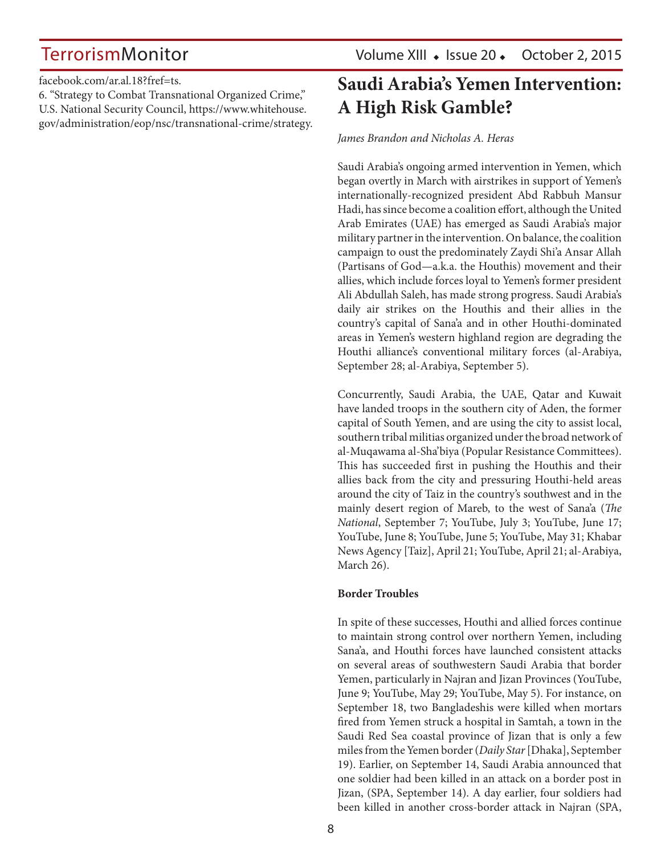[facebook.com/ar.al.18?fref=ts.](https://www.facebook.com/ar.al.18?fref=ts)

6. "Strategy to Combat Transnational Organized Crime," U.S. National Security Council, [https://www.whitehouse.](https://www.whitehouse.gov/administration/eop/nsc/transnational-crime/strategy) [gov/administration/eop/nsc/transnational-crime/strategy](https://www.whitehouse.gov/administration/eop/nsc/transnational-crime/strategy).

## **Saudi Arabia's Yemen Intervention: A High Risk Gamble?**

*James Brandon and Nicholas A. Heras*

Saudi Arabia's ongoing armed intervention in Yemen, which began overtly in March with airstrikes in support of Yemen's internationally-recognized president Abd Rabbuh Mansur Hadi, has since become a coalition effort, although the United Arab Emirates (UAE) has emerged as Saudi Arabia's major military partner in the intervention. On balance, the coalition campaign to oust the predominately Zaydi Shi'a Ansar Allah (Partisans of God—a.k.a. the Houthis) movement and their allies, which include forces loyal to Yemen's former president Ali Abdullah Saleh, has made strong progress. Saudi Arabia's daily air strikes on the Houthis and their allies in the country's capital of Sana'a and in other Houthi-dominated areas in Yemen's western highland region are degrading the Houthi alliance's conventional military forces [\(al-Arabiya](http://english.alarabiya.net/en/webtv/reports/2015/09/28/Arab-coalition-strikes-Houthi-militias-in-Yemen-s-Maarib.html), September 28; [al-Arabiya,](http://english.alarabiya.net/en/News/middle-east/2015/09/05/Arab-coalition-targets-.html) September 5).

Concurrently, Saudi Arabia, the UAE, Qatar and Kuwait have landed troops in the southern city of Aden, the former capital of South Yemen, and are using the city to assist local, southern tribal militias organized under the broad network of al-Muqawama al-Sha'biya (Popular Resistance Committees). This has succeeded first in pushing the Houthis and their allies back from the city and pressuring Houthi-held areas around the city of Taiz in the country's southwest and in the mainly desert region of Mareb, to the west of Sana'a (*[The](http://www.thenational.ae/world/middle-east/why-marib-province-is-crucial-to-coalition-victory-in-yemen) [National](http://www.thenational.ae/world/middle-east/why-marib-province-is-crucial-to-coalition-victory-in-yemen)*, September 7; [YouTube](https://www.youtube.com/watch?v=NL5LS31LBpA&feature=youtu.be), July 3; [YouTube,](https://www.youtube.com/watch?v=8DIlSN77X0Q&feature=youtu.be) June 17; [YouTube,](https://www.youtube.com/watch?v=Z3TUxll_2Lo) June 8; [YouTube,](https://www.youtube.com/watch?v=yU2Shm0St8g&feature=youtu.be) June 5; [YouTube](https://www.youtube.com/watch?v=LRLw1GG-C0w&feature=youtu.be), May 31; [Khabar](http://khabaragency.net/news24642.html)  [News Agency](http://khabaragency.net/news24642.html) [Taiz], April 21; [YouTube,](https://www.youtube.com/watch?v=-MfoJ_Bnqmg) April 21; [al-Arabiya](http://english.alarabiya.net/en/News/middle-east/2015/03/26/Thousands-of-Yemenis-hail-Operation-Decisive-Storm-in-Taiz-.html), March 26).

#### **Border Troubles**

In spite of these successes, Houthi and allied forces continue to maintain strong control over northern Yemen, including Sana'a, and Houthi forces have launched consistent attacks on several areas of southwestern Saudi Arabia that border Yemen, particularly in Najran and Jizan Provinces ([YouTube](https://www.youtube.com/watch?v=sAd0oLjp9Ck), June 9; [YouTube,](https://www.youtube.com/watch?v=qsWgIQ09noM) May 29; [YouTube,](https://www.youtube.com/watch?t=202&v=bwA3eVlddH0) May 5). For instance, on September 18, two Bangladeshis were killed when mortars fired from Yemen struck a hospital in Samtah, a town in the Saudi Red Sea coastal province of Jizan that is only a few miles from the Yemen border (*[Daily Star](http://www.thedailystar.net/frontpage/2-bangladeshis-killed-saudi-hospital-145516)* [Dhaka], September 19). Earlier, on September 14, Saudi Arabia announced that one soldier had been killed in an attack on a border post in Jizan, ([SPA,](http://www.spa.gov.sa/english/search.php?pg=1&s=jazan&by1=n) September 14). A day earlier, four soldiers had been killed in another cross-border attack in Najran ([SPA](http://www.spa.gov.sa/english/details.php?id=1398124),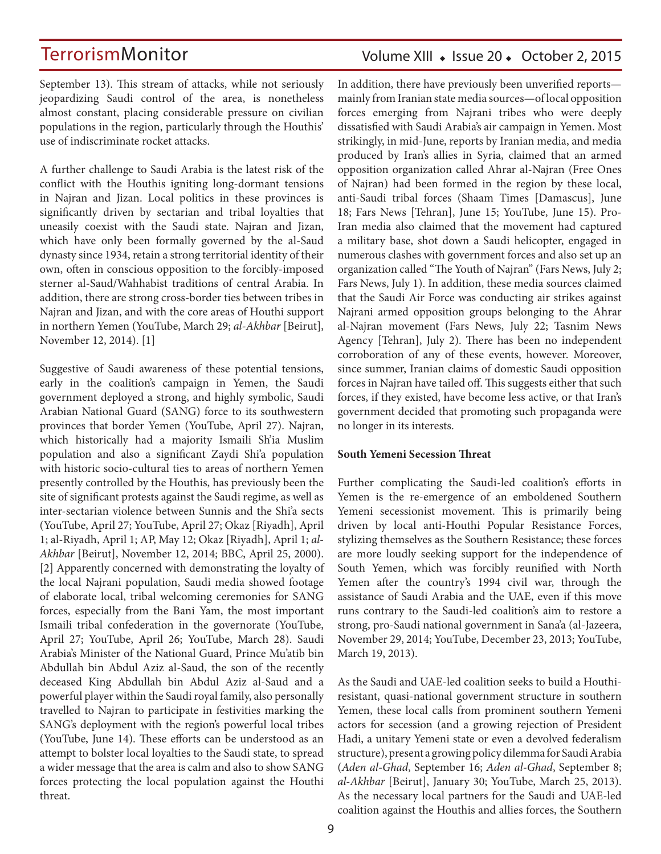### Volume XIII · Issue 20 · October 2, 2015

September 13). This stream of attacks, while not seriously jeopardizing Saudi control of the area, is nonetheless almost constant, placing considerable pressure on civilian populations in the region, particularly through the Houthis' use of indiscriminate rocket attacks.

A further challenge to Saudi Arabia is the latest risk of the conflict with the Houthis igniting long-dormant tensions in Najran and Jizan. Local politics in these provinces is significantly driven by sectarian and tribal loyalties that uneasily coexist with the Saudi state. Najran and Jizan, which have only been formally governed by the al-Saud dynasty since 1934, retain a strong territorial identity of their own, often in conscious opposition to the forcibly-imposed sterner al-Saud/Wahhabist traditions of central Arabia. In addition, there are strong cross-border ties between tribes in Najran and Jizan, and with the core areas of Houthi support in northern Yemen [\(YouTube,](https://www.youtube.com/watch?v=Sc9C3y1LzjM) March 29; *[al-Akhbar](http://english.al-akhbar.com/node/22435)* [Beirut], November 12, 2014). [1]

Suggestive of Saudi awareness of these potential tensions, early in the coalition's campaign in Yemen, the Saudi government deployed a strong, and highly symbolic, Saudi Arabian National Guard (SANG) force to its southwestern provinces that border Yemen [\(YouTube,](https://www.youtube.com/watch?v=jSZ7tndJtqo) April 27). Najran, which historically had a majority Ismaili Sh'ia Muslim population and also a significant Zaydi Shi'a population with historic socio-cultural ties to areas of northern Yemen presently controlled by the Houthis, has previously been the site of significant protests against the Saudi regime, as well as inter-sectarian violence between Sunnis and the Shi'a sects ([YouTube](https://www.youtube.com/watch?v=irq_mOmWwHU), April 27; [YouTube](https://www.youtube.com/watch?v=v8HmUfYRxqI), April 27; [Okaz](http://www.okaz.com.sa/new/Issues/20150401/Con20150401762313.htm) [Riyadh], April 1; [al-Riyadh,](http://www.alriyadh.com/1035187) April 1; [AP](http://accesswdun.com/article/2015/5/309562), May 12; [Okaz](http://www.okaz.com.sa/new/Issues/20150401/Con20150401762313.htm) [Riyadh], April 1; *[al-](http://english.al-akhbar.com/node/22435)[Akhbar](http://english.al-akhbar.com/node/22435)* [Beirut], November 12, 2014; [BBC](http://news.bbc.co.uk/2/hi/middle_east/725597.stm), April 25, 2000). [2] Apparently concerned with demonstrating the loyalty of the local Najrani population, Saudi media showed footage of elaborate local, tribal welcoming ceremonies for SANG forces, especially from the Bani Yam, the most important Ismaili tribal confederation in the governorate ([YouTube](https://www.youtube.com/watch?v=v8HmUfYRxqI), April 27; [YouTube](https://www.youtube.com/watch?v=LaHoRwrCbdY), April 26; [YouTube,](https://www.youtube.com/watch?v=JVR_jNAxhto) March 28). Saudi Arabia's Minister of the National Guard, Prince Mu'atib bin Abdullah bin Abdul Aziz al-Saud, the son of the recently deceased King Abdullah bin Abdul Aziz al-Saud and a powerful player within the Saudi royal family, also personally travelled to Najran to participate in festivities marking the SANG's deployment with the region's powerful local tribes ([YouTube](https://www.youtube.com/watch?v=ds2QD_evWko), June 14). These efforts can be understood as an attempt to bolster local loyalties to the Saudi state, to spread a wider message that the area is calm and also to show SANG forces protecting the local population against the Houthi threat.

In addition, there have previously been unverified reports mainly from Iranian state media sources—of local opposition forces emerging from Najrani tribes who were deeply dissatisfied with Saudi Arabia's air campaign in Yemen. Most strikingly, in mid-June, reports by Iranian media, and media produced by Iran's allies in Syria, claimed that an armed opposition organization called Ahrar al-Najran (Free Ones of Najran) had been formed in the region by these local, anti-Saudi tribal forces (Shaam Times [Damascus], June 18; [Fars News](http://arabic.farsnews.com/allstories/news/13940325000680) [Tehran], June 15; [YouTube](https://www.youtube.com/watch?v=XZsHIgy2R8g&feature=youtu.be), June 15). Pro-Iran media also claimed that the movement had captured a military base, shot down a Saudi helicopter, engaged in numerous clashes with government forces and also set up an organization called "The Youth of Najran" ([Fars News,](http://english.farsnews.com/newstext.aspx?nn=13940411000888) July 2; [Fars News,](http://english.farsnews.com/newstext.aspx?nn=13940410001324) July 1). In addition, these media sources claimed that the Saudi Air Force was conducting air strikes against Najrani armed opposition groups belonging to the Ahrar al-Najran movement [\(Fars News](http://english.farsnews.com/newstext.aspx?nn=13940431000962), July 22; [Tasnim News](http://www.tasnimnews.com/arabic/Home/Single/788109)  [Agency](http://www.tasnimnews.com/arabic/Home/Single/788109) [Tehran], July 2). There has been no independent corroboration of any of these events, however. Moreover, since summer, Iranian claims of domestic Saudi opposition forces in Najran have tailed off. This suggests either that such forces, if they existed, have become less active, or that Iran's government decided that promoting such propaganda were no longer in its interests.

#### **South Yemeni Secession Threat**

Further complicating the Saudi-led coalition's efforts in Yemen is the re-emergence of an emboldened Southern Yemeni secessionist movement. This is primarily being driven by local anti-Houthi Popular Resistance Forces, stylizing themselves as the Southern Resistance; these forces are more loudly seeking support for the independence of South Yemen, which was forcibly reunified with North Yemen after the country's 1994 civil war, through the assistance of Saudi Arabia and the UAE, even if this move runs contrary to the Saudi-led coalition's aim to restore a strong, pro-Saudi national government in Sana'a ([al-Jazeera](http://www.aljazeera.com/news/middleeast/2014/11/tensions-soar-at-southern-yemen-protest-camp-20141129142436169878.html), November 29, 2014; [YouTube](https://www.youtube.com/watch?v=G4K-xRzfmcs), December 23, 2013; [YouTube](https://www.youtube.com/watch?t=5&v=X8SWEKf5838), March 19, 2013).

As the Saudi and UAE-led coalition seeks to build a Houthiresistant, quasi-national government structure in southern Yemen, these local calls from prominent southern Yemeni actors for secession (and a growing rejection of President Hadi, a unitary Yemeni state or even a devolved federalism structure), present a growing policy dilemma for Saudi Arabia (*Aden al-Ghad*, September 16; *Aden al-Ghad*, September 8; *[al-Akhbar](http://english.al-akhbar.com/node/23516)* [Beirut], January 30; [YouTube,](https://www.youtube.com/watch?t=27&v=ZbcCkrGUUFQ) March 25, 2013). As the necessary local partners for the Saudi and UAE-led coalition against the Houthis and allies forces, the Southern